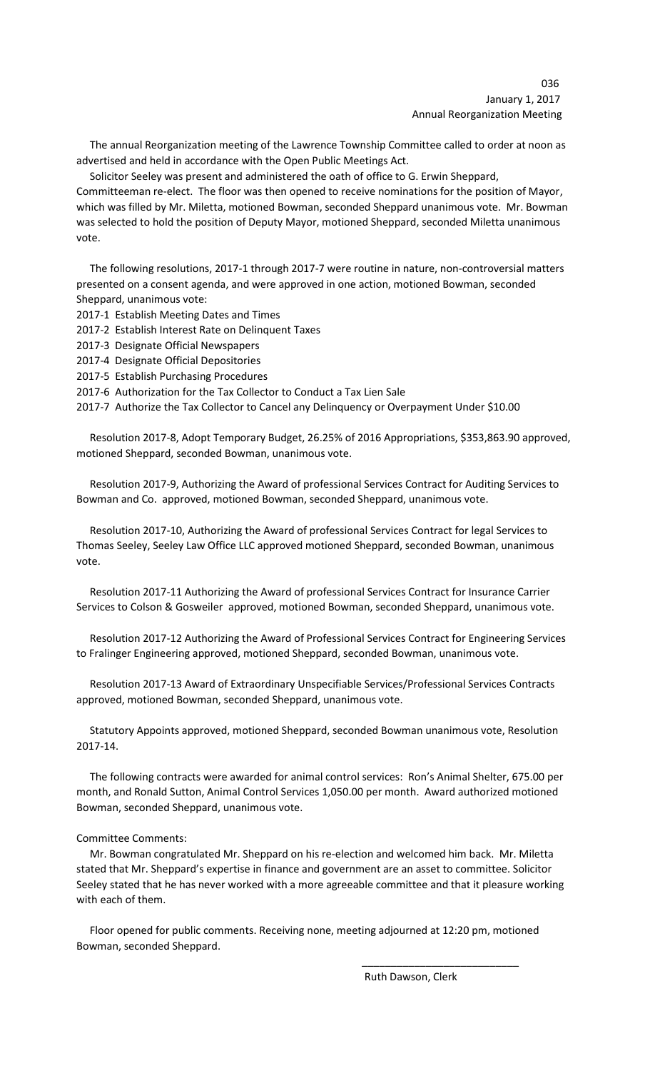# 036 January 1, 2017 Annual Reorganization Meeting

 The annual Reorganization meeting of the Lawrence Township Committee called to order at noon as advertised and held in accordance with the Open Public Meetings Act.

 Solicitor Seeley was present and administered the oath of office to G. Erwin Sheppard, Committeeman re-elect. The floor was then opened to receive nominations for the position of Mayor, which was filled by Mr. Miletta, motioned Bowman, seconded Sheppard unanimous vote. Mr. Bowman was selected to hold the position of Deputy Mayor, motioned Sheppard, seconded Miletta unanimous vote.

 The following resolutions, 2017-1 through 2017-7 were routine in nature, non-controversial matters presented on a consent agenda, and were approved in one action, motioned Bowman, seconded Sheppard, unanimous vote:

- 2017-1 Establish Meeting Dates and Times
- 2017-2 Establish Interest Rate on Delinquent Taxes
- 2017-3 Designate Official Newspapers
- 2017-4 Designate Official Depositories
- 2017-5 Establish Purchasing Procedures
- 2017-6 Authorization for the Tax Collector to Conduct a Tax Lien Sale

2017-7 Authorize the Tax Collector to Cancel any Delinquency or Overpayment Under \$10.00

 Resolution 2017-8, Adopt Temporary Budget, 26.25% of 2016 Appropriations, \$353,863.90 approved, motioned Sheppard, seconded Bowman, unanimous vote.

 Resolution 2017-9, Authorizing the Award of professional Services Contract for Auditing Services to Bowman and Co. approved, motioned Bowman, seconded Sheppard, unanimous vote.

 Resolution 2017-10, Authorizing the Award of professional Services Contract for legal Services to Thomas Seeley, Seeley Law Office LLC approved motioned Sheppard, seconded Bowman, unanimous vote.

 Resolution 2017-11 Authorizing the Award of professional Services Contract for Insurance Carrier Services to Colson & Gosweiler approved, motioned Bowman, seconded Sheppard, unanimous vote.

 Resolution 2017-12 Authorizing the Award of Professional Services Contract for Engineering Services to Fralinger Engineering approved, motioned Sheppard, seconded Bowman, unanimous vote.

 Resolution 2017-13 Award of Extraordinary Unspecifiable Services/Professional Services Contracts approved, motioned Bowman, seconded Sheppard, unanimous vote.

 Statutory Appoints approved, motioned Sheppard, seconded Bowman unanimous vote, Resolution 2017-14.

 The following contracts were awarded for animal control services: Ron's Animal Shelter, 675.00 per month, and Ronald Sutton, Animal Control Services 1,050.00 per month. Award authorized motioned Bowman, seconded Sheppard, unanimous vote.

## Committee Comments:

 Mr. Bowman congratulated Mr. Sheppard on his re-election and welcomed him back. Mr. Miletta stated that Mr. Sheppard's expertise in finance and government are an asset to committee. Solicitor Seeley stated that he has never worked with a more agreeable committee and that it pleasure working with each of them.

 Floor opened for public comments. Receiving none, meeting adjourned at 12:20 pm, motioned Bowman, seconded Sheppard.

 $\overline{\phantom{a}}$  , and the contract of the contract of the contract of the contract of the contract of the contract of the contract of the contract of the contract of the contract of the contract of the contract of the contrac

Ruth Dawson, Clerk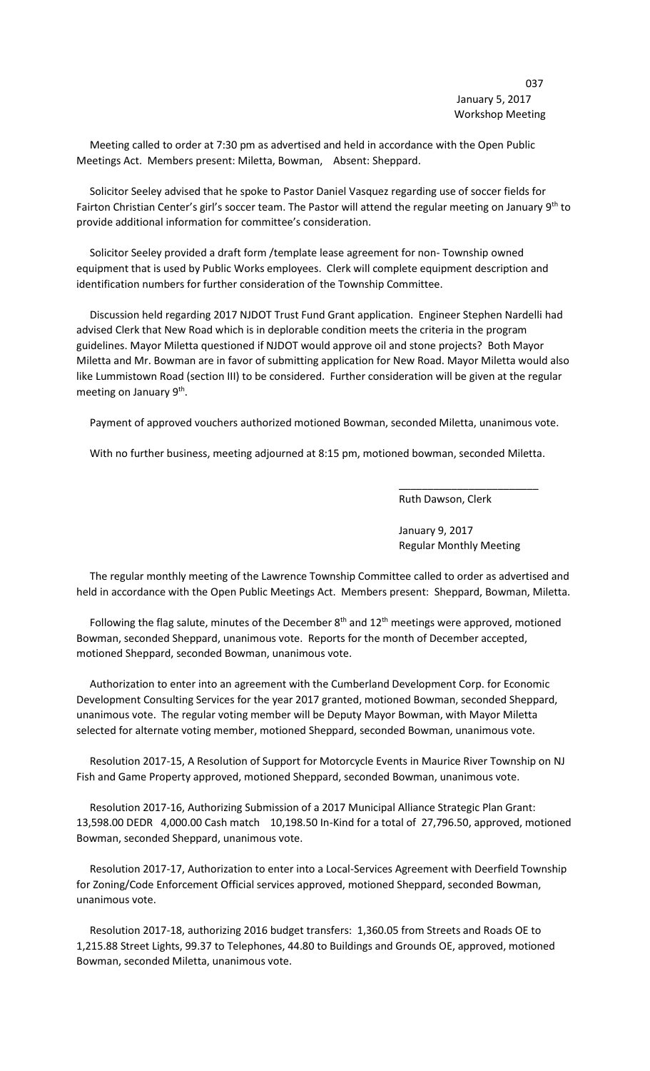Meeting called to order at 7:30 pm as advertised and held in accordance with the Open Public Meetings Act. Members present: Miletta, Bowman, Absent: Sheppard.

 Solicitor Seeley advised that he spoke to Pastor Daniel Vasquez regarding use of soccer fields for Fairton Christian Center's girl's soccer team. The Pastor will attend the regular meeting on January 9<sup>th</sup> to provide additional information for committee's consideration.

 Solicitor Seeley provided a draft form /template lease agreement for non- Township owned equipment that is used by Public Works employees. Clerk will complete equipment description and identification numbers for further consideration of the Township Committee.

 Discussion held regarding 2017 NJDOT Trust Fund Grant application. Engineer Stephen Nardelli had advised Clerk that New Road which is in deplorable condition meets the criteria in the program guidelines. Mayor Miletta questioned if NJDOT would approve oil and stone projects? Both Mayor Miletta and Mr. Bowman are in favor of submitting application for New Road. Mayor Miletta would also like Lummistown Road (section III) to be considered. Further consideration will be given at the regular meeting on January 9<sup>th</sup>.

Payment of approved vouchers authorized motioned Bowman, seconded Miletta, unanimous vote.

With no further business, meeting adjourned at 8:15 pm, motioned bowman, seconded Miletta.

 $\overline{\phantom{a}}$  , and the contract of the contract of the contract of the contract of the contract of the contract of the contract of the contract of the contract of the contract of the contract of the contract of the contrac

Ruth Dawson, Clerk

January 9, 2017 Regular Monthly Meeting

 The regular monthly meeting of the Lawrence Township Committee called to order as advertised and held in accordance with the Open Public Meetings Act. Members present: Sheppard, Bowman, Miletta.

Following the flag salute, minutes of the December  $8<sup>th</sup>$  and  $12<sup>th</sup>$  meetings were approved, motioned Bowman, seconded Sheppard, unanimous vote. Reports for the month of December accepted, motioned Sheppard, seconded Bowman, unanimous vote.

 Authorization to enter into an agreement with the Cumberland Development Corp. for Economic Development Consulting Services for the year 2017 granted, motioned Bowman, seconded Sheppard, unanimous vote. The regular voting member will be Deputy Mayor Bowman, with Mayor Miletta selected for alternate voting member, motioned Sheppard, seconded Bowman, unanimous vote.

 Resolution 2017-15, A Resolution of Support for Motorcycle Events in Maurice River Township on NJ Fish and Game Property approved, motioned Sheppard, seconded Bowman, unanimous vote.

 Resolution 2017-16, Authorizing Submission of a 2017 Municipal Alliance Strategic Plan Grant: 13,598.00 DEDR 4,000.00 Cash match 10,198.50 In-Kind for a total of 27,796.50, approved, motioned Bowman, seconded Sheppard, unanimous vote.

 Resolution 2017-17, Authorization to enter into a Local-Services Agreement with Deerfield Township for Zoning/Code Enforcement Official services approved, motioned Sheppard, seconded Bowman, unanimous vote.

 Resolution 2017-18, authorizing 2016 budget transfers: 1,360.05 from Streets and Roads OE to 1,215.88 Street Lights, 99.37 to Telephones, 44.80 to Buildings and Grounds OE, approved, motioned Bowman, seconded Miletta, unanimous vote.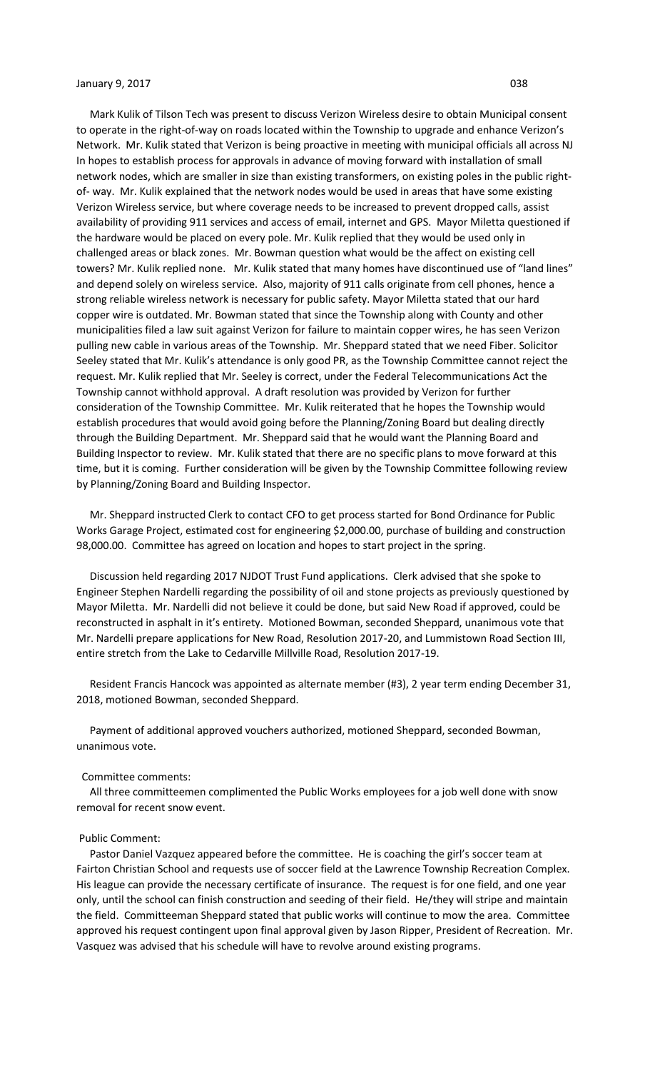## January 9, 2017 **038**

 Mark Kulik of Tilson Tech was present to discuss Verizon Wireless desire to obtain Municipal consent to operate in the right-of-way on roads located within the Township to upgrade and enhance Verizon's Network. Mr. Kulik stated that Verizon is being proactive in meeting with municipal officials all across NJ In hopes to establish process for approvals in advance of moving forward with installation of small network nodes, which are smaller in size than existing transformers, on existing poles in the public rightof- way. Mr. Kulik explained that the network nodes would be used in areas that have some existing Verizon Wireless service, but where coverage needs to be increased to prevent dropped calls, assist availability of providing 911 services and access of email, internet and GPS. Mayor Miletta questioned if the hardware would be placed on every pole. Mr. Kulik replied that they would be used only in challenged areas or black zones. Mr. Bowman question what would be the affect on existing cell towers? Mr. Kulik replied none. Mr. Kulik stated that many homes have discontinued use of "land lines" and depend solely on wireless service. Also, majority of 911 calls originate from cell phones, hence a strong reliable wireless network is necessary for public safety. Mayor Miletta stated that our hard copper wire is outdated. Mr. Bowman stated that since the Township along with County and other municipalities filed a law suit against Verizon for failure to maintain copper wires, he has seen Verizon pulling new cable in various areas of the Township. Mr. Sheppard stated that we need Fiber. Solicitor Seeley stated that Mr. Kulik's attendance is only good PR, as the Township Committee cannot reject the request. Mr. Kulik replied that Mr. Seeley is correct, under the Federal Telecommunications Act the Township cannot withhold approval. A draft resolution was provided by Verizon for further consideration of the Township Committee. Mr. Kulik reiterated that he hopes the Township would establish procedures that would avoid going before the Planning/Zoning Board but dealing directly through the Building Department. Mr. Sheppard said that he would want the Planning Board and Building Inspector to review. Mr. Kulik stated that there are no specific plans to move forward at this time, but it is coming. Further consideration will be given by the Township Committee following review by Planning/Zoning Board and Building Inspector.

 Mr. Sheppard instructed Clerk to contact CFO to get process started for Bond Ordinance for Public Works Garage Project, estimated cost for engineering \$2,000.00, purchase of building and construction 98,000.00. Committee has agreed on location and hopes to start project in the spring.

 Discussion held regarding 2017 NJDOT Trust Fund applications. Clerk advised that she spoke to Engineer Stephen Nardelli regarding the possibility of oil and stone projects as previously questioned by Mayor Miletta. Mr. Nardelli did not believe it could be done, but said New Road if approved, could be reconstructed in asphalt in it's entirety. Motioned Bowman, seconded Sheppard, unanimous vote that Mr. Nardelli prepare applications for New Road, Resolution 2017-20, and Lummistown Road Section III, entire stretch from the Lake to Cedarville Millville Road, Resolution 2017-19.

 Resident Francis Hancock was appointed as alternate member (#3), 2 year term ending December 31, 2018, motioned Bowman, seconded Sheppard.

 Payment of additional approved vouchers authorized, motioned Sheppard, seconded Bowman, unanimous vote.

#### Committee comments:

 All three committeemen complimented the Public Works employees for a job well done with snow removal for recent snow event.

### Public Comment:

 Pastor Daniel Vazquez appeared before the committee. He is coaching the girl's soccer team at Fairton Christian School and requests use of soccer field at the Lawrence Township Recreation Complex. His league can provide the necessary certificate of insurance. The request is for one field, and one year only, until the school can finish construction and seeding of their field. He/they will stripe and maintain the field. Committeeman Sheppard stated that public works will continue to mow the area. Committee approved his request contingent upon final approval given by Jason Ripper, President of Recreation. Mr. Vasquez was advised that his schedule will have to revolve around existing programs.